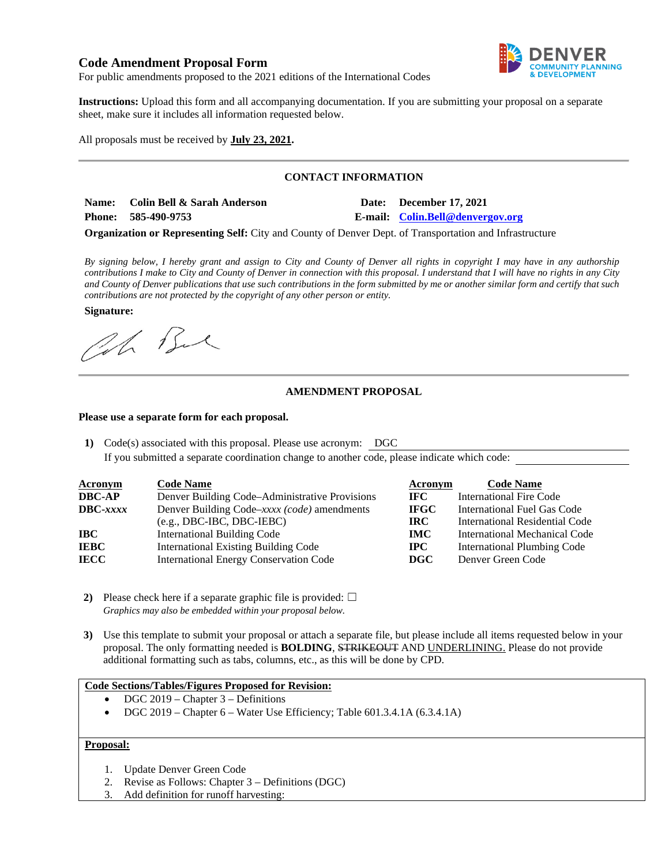# **Code Amendment Proposal Form**



For public amendments proposed to the 2021 editions of the International Codes

**Instructions:** Upload this form and all accompanying documentation. If you are submitting your proposal on a separate sheet, make sure it includes all information requested below.

All proposals must be received by **July 23, 2021.** 

### **CONTACT INFORMATION**

**Name: Colin Bell & Sarah Anderson Date: December 17, 2021 Phone: 585-490-9753 E-mail: [Colin.Bell@denvergov.org](mailto:Colin.Bell@denvergov.org)**

**Organization or Representing Self:** City and County of Denver Dept. of Transportation and Infrastructure

*By signing below, I hereby grant and assign to City and County of Denver all rights in copyright I may have in any authorship contributions I make to City and County of Denver in connection with this proposal. I understand that I will have no rights in any City and County of Denver publications that use such contributions in the form submitted by me or another similar form and certify that such contributions are not protected by the copyright of any other person or entity.* 

**Signature:** 

Oh Bu

### **AMENDMENT PROPOSAL**

#### **Please use a separate form for each proposal.**

**1)** Code(s) associated with this proposal. Please use acronym: DGC

If you submitted a separate coordination change to another code, please indicate which code:

| <b>Acronym</b> | <b>Code Name</b>                               | Acronym     | <b>Code Name</b>                      |
|----------------|------------------------------------------------|-------------|---------------------------------------|
| DBC-AP         | Denver Building Code–Administrative Provisions | IFC -       | <b>International Fire Code</b>        |
| DBC-xxxx       | Denver Building Code–xxxx (code) amendments    | <b>IFGC</b> | International Fuel Gas Code           |
|                | $(e.g., DBC-IBC, DBC-IEBC)$                    | IRC.        | <b>International Residential Code</b> |
| IBC -          | <b>International Building Code</b>             | <b>IMC</b>  | International Mechanical Code         |
| IEBC           | <b>International Existing Building Code</b>    | IPC.        | <b>International Plumbing Code</b>    |
| IECC           | <b>International Energy Conservation Code</b>  | DGC         | Denver Green Code                     |

- **2)** Please check here if a separate graphic file is provided:  $\Box$ *Graphics may also be embedded within your proposal below.*
- **3)** Use this template to submit your proposal or attach a separate file, but please include all items requested below in your proposal. The only formatting needed is **BOLDING**, STRIKEOUT AND UNDERLINING. Please do not provide additional formatting such as tabs, columns, etc., as this will be done by CPD.

#### **Code Sections/Tables/Figures Proposed for Revision:**

- $\bullet$  DGC 2019 Chapter 3 Definitions
- DGC 2019 Chapter 6 Water Use Efficiency; Table 601.3.4.1A (6.3.4.1A)

## **Proposal:**

- 1. Update Denver Green Code
- 2. Revise as Follows: Chapter 3 Definitions (DGC)
- 3. Add definition for runoff harvesting: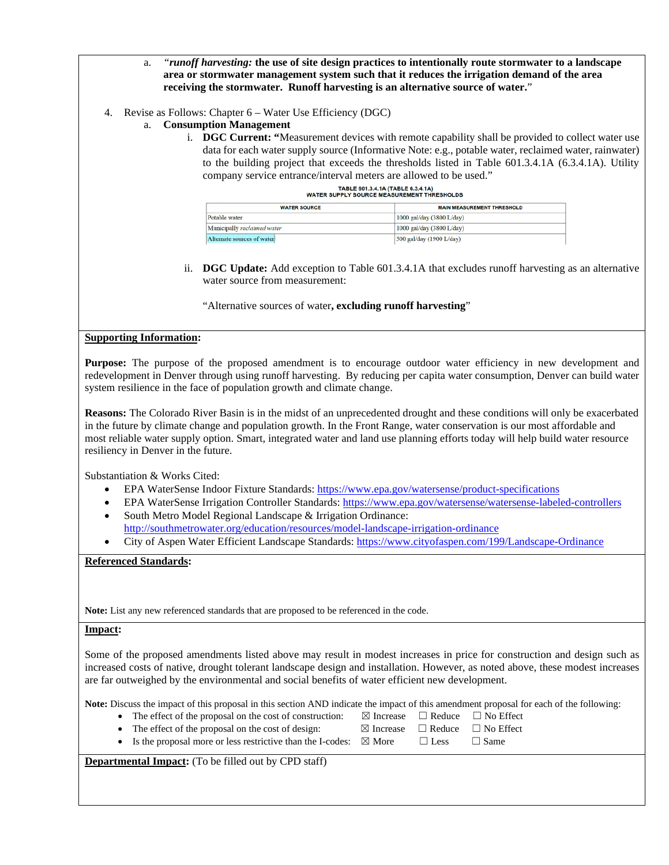- a. *"runoff harvesting:* **the use of site design practices to intentionally route stormwater to a landscape area or stormwater management system such that it reduces the irrigation demand of the area receiving the stormwater. Runoff harvesting is an alternative source of water.**"
- 4. Revise as Follows: Chapter 6 Water Use Efficiency (DGC)
	- a. **Consumption Management**
		- i. **DGC Current: "**Measurement devices with remote capability shall be provided to collect water use data for each water supply source (Informative Note: e.g., potable water, reclaimed water, rainwater) to the building project that exceeds the thresholds listed in Table 601.3.4.1A (6.3.4.1A). Utility company service entrance/interval meters are allowed to be used."

| TABLE 601.3.4.1A (TABLE 6.3.4.1A) |  |  |  |                                            |  |  |
|-----------------------------------|--|--|--|--------------------------------------------|--|--|
|                                   |  |  |  | WATER SUPPLY SOURCE MEASUREMENT THRESHOLDS |  |  |

| <b>WATER SOURCE</b>         | <b>MAIN MEASUREMENT THRESHOLD</b> |  |
|-----------------------------|-----------------------------------|--|
| Potable water               | 1000 gal/day (3800 L/day)         |  |
| Municipally reclaimed water | 1000 gal/day (3800 L/day)         |  |
| Alternate sources of water  | 500 gal/day (1900 L/day)          |  |

ii. **DGC Update:** Add exception to Table 601.3.4.1A that excludes runoff harvesting as an alternative water source from measurement:

"Alternative sources of water**, excluding runoff harvesting**"

### **Supporting Information:**

**Purpose:** The purpose of the proposed amendment is to encourage outdoor water efficiency in new development and redevelopment in Denver through using runoff harvesting. By reducing per capita water consumption, Denver can build water system resilience in the face of population growth and climate change.

**Reasons:** The Colorado River Basin is in the midst of an unprecedented drought and these conditions will only be exacerbated in the future by climate change and population growth. In the Front Range, water conservation is our most affordable and most reliable water supply option. Smart, integrated water and land use planning efforts today will help build water resource resiliency in Denver in the future.

Substantiation & Works Cited:

- EPA WaterSense Indoor Fixture Standards[: https://www.epa.gov/watersense/product-specifications](https://www.epa.gov/watersense/product-specifications)
- EPA WaterSense Irrigation Controller Standards:<https://www.epa.gov/watersense/watersense-labeled-controllers>
- South Metro Model Regional Landscape & Irrigation Ordinance:
- <http://southmetrowater.org/education/resources/model-landscape-irrigation-ordinance>
- City of Aspen Water Efficient Landscape Standards[: https://www.cityofaspen.com/199/Landscape-Ordinance](https://www.cityofaspen.com/199/Landscape-Ordinance)

**Referenced Standards:** 

**Note:** List any new referenced standards that are proposed to be referenced in the code.

## **Impact:**

Some of the proposed amendments listed above may result in modest increases in price for construction and design such as increased costs of native, drought tolerant landscape design and installation. However, as noted above, these modest increases are far outweighed by the environmental and social benefits of water efficient new development.

**Note:** Discuss the impact of this proposal in this section AND indicate the impact of this amendment proposal for each of the following:

- The effect of the proposal on the cost of construction: ⊠ Increase □ Reduce □ No Effect
- The effect of the proposal on the cost of design:  $\boxtimes$  Increase  $\Box$  Reduce  $\Box$  No Effect

| The effect of the proposal on the cost of design:                             | $\boxtimes$ Increase $\Box$ Reduce $\Box$ No Et |             |
|-------------------------------------------------------------------------------|-------------------------------------------------|-------------|
| • Is the proposal more or less restrictive than the I-codes: $\boxtimes$ More | $\Box$ Less                                     | $\Box$ Same |

**Departmental Impact:** (To be filled out by CPD staff)